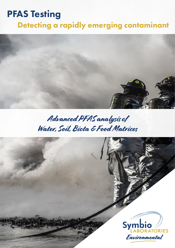# PFAS Testing

## Detecting a rapidly emerging contaminant



## Advanced PFAS analysis of Water, Soil, Biota & Food Matrices